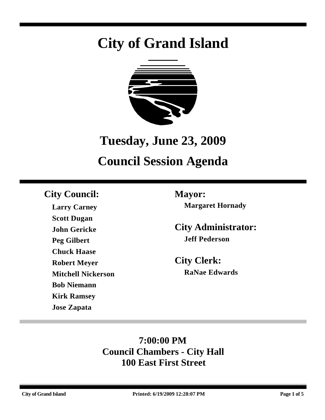# **City of Grand Island**



## **Tuesday, June 23, 2009**

## **Council Session Agenda**

## **City Council: Mayor:**

**Larry Carney Scott Dugan John Gericke Peg Gilbert Chuck Haase Robert Meyer Mitchell Nickerson Bob Niemann Kirk Ramsey Jose Zapata**

**Margaret Hornady**

**City Administrator: Jeff Pederson**

**City Clerk: RaNae Edwards**

## **7:00:00 PM Council Chambers - City Hall 100 East First Street**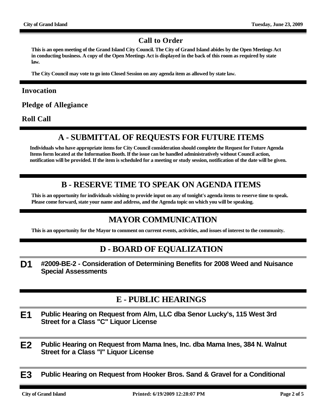#### **Call to Order**

**This is an open meeting of the Grand Island City Council. The City of Grand Island abides by the Open Meetings Act in conducting business. A copy of the Open Meetings Act is displayed in the back of this room as required by state law.**

**The City Council may vote to go into Closed Session on any agenda item as allowed by state law.**

#### **Invocation**

**Pledge of Allegiance**

**Roll Call**

## **A - SUBMITTAL OF REQUESTS FOR FUTURE ITEMS**

**Individuals who have appropriate items for City Council consideration should complete the Request for Future Agenda Items form located at the Information Booth. If the issue can be handled administratively without Council action, notification will be provided. If the item is scheduled for a meeting or study session, notification of the date will be given.**

### **B - RESERVE TIME TO SPEAK ON AGENDA ITEMS**

**This is an opportunity for individuals wishing to provide input on any of tonight's agenda items to reserve time to speak. Please come forward, state your name and address, and the Agenda topic on which you will be speaking.**

## **MAYOR COMMUNICATION**

**This is an opportunity for the Mayor to comment on current events, activities, and issues of interest to the community.**

### **D - BOARD OF EQUALIZATION**

**D1 #2009-BE-2 - Consideration of Determining Benefits for 2008 Weed and Nuisance Special Assessments**

### **E - PUBLIC HEARINGS**

- **E1 Public Hearing on Request from Alm, LLC dba Senor Lucky's, 115 West 3rd Street for a Class "C" Liquor License**
- **E2 Public Hearing on Request from Mama Ines, Inc. dba Mama Ines, 384 N. Walnut Street for a Class "I" Liquor License**
- **E3 Public Hearing on Request from Hooker Bros. Sand & Gravel for a Conditional**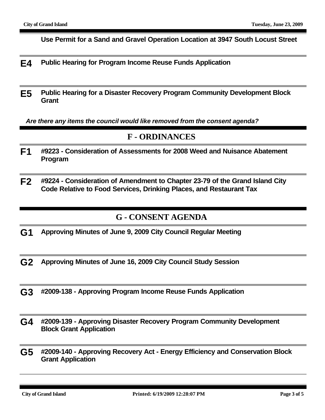**Use Permit for a Sand and Gravel Operation Location at 3947 South Locust Street**

- **E4 Public Hearing for Program Income Reuse Funds Application**
- **E5 Public Hearing for a Disaster Recovery Program Community Development Block Grant**

*Are there any items the council would like removed from the consent agenda?*

#### **F - ORDINANCES**

- **F1 #9223 Consideration of Assessments for 2008 Weed and Nuisance Abatement Program**
- **F2 #9224 Consideration of Amendment to Chapter 23-79 of the Grand Island City Code Relative to Food Services, Drinking Places, and Restaurant Tax**

#### **G - CONSENT AGENDA**

- **G1 Approving Minutes of June 9, 2009 City Council Regular Meeting**
- **G2 Approving Minutes of June 16, 2009 City Council Study Session**
- **G3 #2009-138 Approving Program Income Reuse Funds Application**
- **G4 #2009-139 Approving Disaster Recovery Program Community Development Block Grant Application**
- **G5 #2009-140 Approving Recovery Act Energy Efficiency and Conservation Block Grant Application**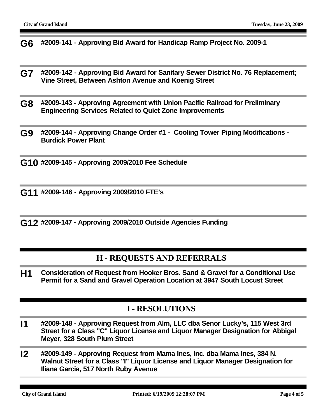**G6 #2009-141 - Approving Bid Award for Handicap Ramp Project No. 2009-1**

- **G7 #2009-142 Approving Bid Award for Sanitary Sewer District No. 76 Replacement; Vine Street, Between Ashton Avenue and Koenig Street**
- **G8 #2009-143 Approving Agreement with Union Pacific Railroad for Preliminary Engineering Services Related to Quiet Zone Improvements**
- **G9 #2009-144 Approving Change Order #1 Cooling Tower Piping Modifications Burdick Power Plant**

**G10 #2009-145 - Approving 2009/2010 Fee Schedule**

**G11 #2009-146 - Approving 2009/2010 FTE's**

**G12 #2009-147 - Approving 2009/2010 Outside Agencies Funding**

#### **H - REQUESTS AND REFERRALS**

**H1 Consideration of Request from Hooker Bros. Sand & Gravel for a Conditional Use Permit for a Sand and Gravel Operation Location at 3947 South Locust Street**

#### **I - RESOLUTIONS**

- **I1 #2009-148 Approving Request from Alm, LLC dba Senor Lucky's, 115 West 3rd Street for a Class "C" Liquor License and Liquor Manager Designation for Abbigal Meyer, 328 South Plum Street**
- **I2 #2009-149 Approving Request from Mama Ines, Inc. dba Mama Ines, 384 N. Walnut Street for a Class "I" Liquor License and Liquor Manager Designation for Iliana Garcia, 517 North Ruby Avenue**